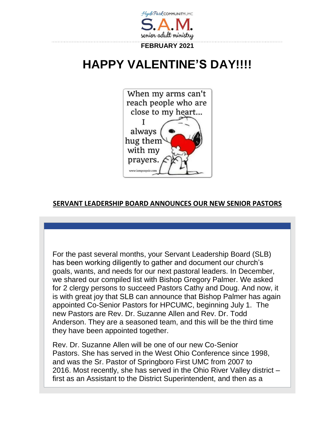

# **HAPPY VALENTINE'S DAY!!!!**



## **SERVANT LEADERSHIP BOARD ANNOUNCES OUR NEW SENIOR PASTORS**

For the past several months, your Servant Leadership Board (SLB) has been working diligently to gather and document our church's goals, wants, and needs for our next pastoral leaders. In December, we shared our compiled list with Bishop Gregory Palmer. We asked for 2 clergy persons to succeed Pastors Cathy and Doug. And now, it is with great joy that SLB can announce that Bishop Palmer has again appointed Co-Senior Pastors for HPCUMC, beginning July 1. The new Pastors are Rev. Dr. Suzanne Allen and Rev. Dr. Todd Anderson. They are a seasoned team, and this will be the third time they have been appointed together.

Rev. Dr. Suzanne Allen will be one of our new Co-Senior Pastors. She has served in the West Ohio Conference since 1998, and was the Sr. Pastor of Springboro First UMC from 2007 to 2016. Most recently, she has served in the Ohio River Valley district – first as an Assistant to the District Superintendent, and then as a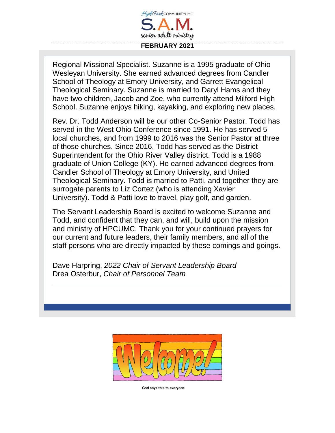

Regional Missional Specialist. Suzanne is a 1995 graduate of Ohio Wesleyan University. She earned advanced degrees from Candler School of Theology at Emory University, and Garrett Evangelical Theological Seminary. Suzanne is married to Daryl Hams and they have two children, Jacob and Zoe, who currently attend Milford High School. Suzanne enjoys hiking, kayaking, and exploring new places.

Rev. Dr. Todd Anderson will be our other Co-Senior Pastor. Todd has served in the West Ohio Conference since 1991. He has served 5 local churches, and from 1999 to 2016 was the Senior Pastor at three of those churches. Since 2016, Todd has served as the District Superintendent for the Ohio River Valley district. Todd is a 1988 graduate of Union College (KY). He earned advanced degrees from Candler School of Theology at Emory University, and United Theological Seminary. Todd is married to Patti, and together they are surrogate parents to Liz Cortez (who is attending Xavier University). Todd & Patti love to travel, play golf, and garden.

The Servant Leadership Board is excited to welcome Suzanne and Todd, and confident that they can, and will, build upon the mission and ministry of HPCUMC. Thank you for your continued prayers for our current and future leaders, their family members, and all of the staff persons who are directly impacted by these comings and goings.

Dave Harpring, *2022 Chair of Servant Leadership Board* Drea Osterbur, *Chair of Personnel Team*



God says this to everyone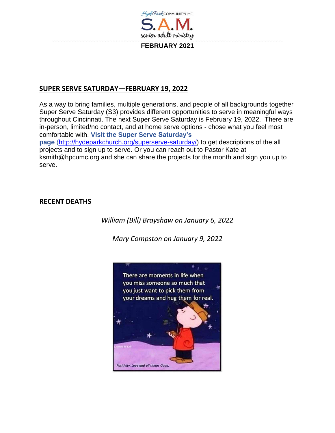

### **SUPER SERVE SATURDAY—FEBRUARY 19, 2022**

As a way to bring families, multiple generations, and people of all backgrounds together Super Serve Saturday (S3) provides different opportunities to serve in meaningful ways throughout Cincinnati. The next Super Serve Saturday is February 19, 2022. There are in-person, limited/no contact, and at home serve options - chose what you feel most comfortable with. **Visit the Super Serve Saturday's page** [\(http://hydeparkchurch.org/superserve-saturday/\)](http://hydeparkchurch.org/superserve-saturday/) to get descriptions of the all projects and to sign up to serve. Or you can reach out to Pastor Kate at

ksmith@hpcumc.org and she can share the projects for the month and sign you up to serve.

#### **RECENT DEATHS**

*William (Bill) Brayshaw on January 6, 2022*

*Mary Compston on January 9, 2022*

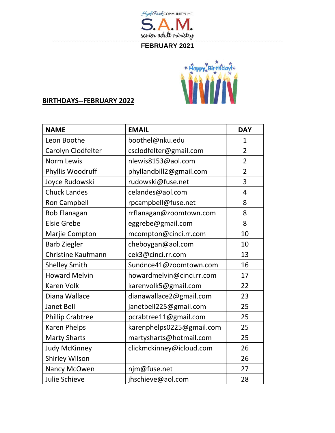

## **FEBRUARY 2021**



# **BIRTHDAYS--FEBRUARY 2022**

| <b>NAME</b>             | <b>EMAIL</b>              | <b>DAY</b>     |
|-------------------------|---------------------------|----------------|
| Leon Boothe             | boothel@nku.edu           | $\mathbf{1}$   |
| Carolyn Clodfelter      | csclodfelter@gmail.com    | $\overline{2}$ |
| <b>Norm Lewis</b>       | nlewis8153@aol.com        | $\overline{2}$ |
| Phyllis Woodruff        | phyllandbill2@gmail.com   | $\overline{2}$ |
| Joyce Rudowski          | rudowski@fuse.net         | 3              |
| <b>Chuck Landes</b>     | celandes@aol.com          | 4              |
| <b>Ron Campbell</b>     | rpcampbell@fuse.net       | 8              |
| Rob Flanagan            | rrflanagan@zoomtown.com   | 8              |
| <b>Elsie Grebe</b>      | eggrebe@gmail.com         | 8              |
| Marjie Compton          | mcompton@cinci.rr.com     | 10             |
| <b>Barb Ziegler</b>     | cheboygan@aol.com         | 10             |
| Christine Kaufmann      | cek3@cinci.rr.com         | 13             |
| <b>Shelley Smith</b>    | Sundnce41@zoomtown.com    | 16             |
| <b>Howard Melvin</b>    | howardmelvin@cinci.rr.com | 17             |
| <b>Karen Volk</b>       | karenvolk5@gmail.com      | 22             |
| Diana Wallace           | dianawallace2@gmail.com   | 23             |
| <b>Janet Bell</b>       | janetbell225@gmail.com    | 25             |
| <b>Phillip Crabtree</b> | pcrabtree11@gmail.com     | 25             |
| <b>Karen Phelps</b>     | karenphelps0225@gmail.com | 25             |
| <b>Marty Sharts</b>     | martysharts@hotmail.com   | 25             |
| <b>Judy McKinney</b>    | clickmckinney@icloud.com  | 26             |
| Shirley Wilson          |                           | 26             |
| Nancy McOwen            | njm@fuse.net              | 27             |
| <b>Julie Schieve</b>    | jhschieve@aol.com         | 28             |